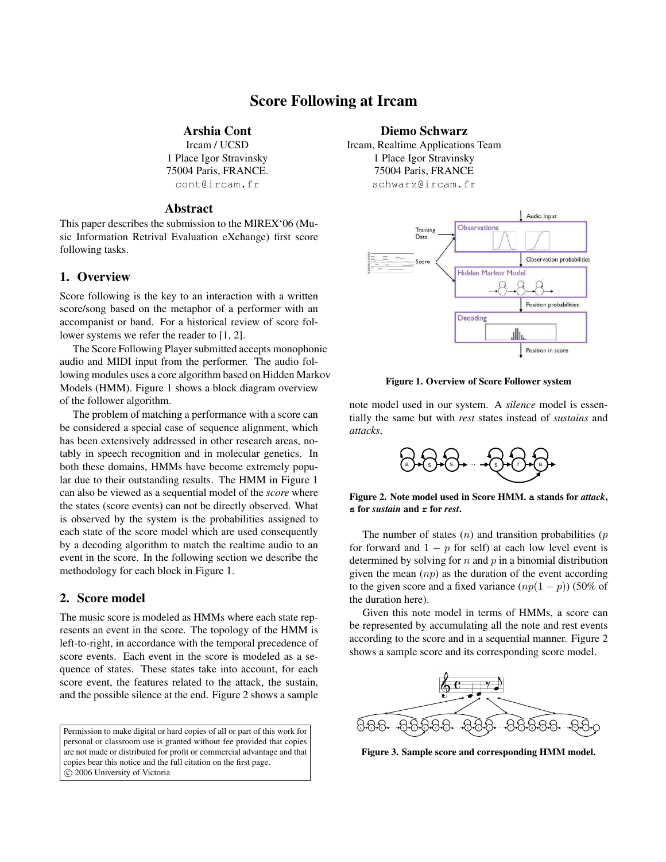# Score Following at Ircam

#### Arshia Cont

Ircam / UCSD 1 Place Igor Stravinsky 75004 Paris, FRANCE. cont@ircam.fr

#### Abstract

This paper describes the submission to the MIREX'06 (Music Information Retrival Evaluation eXchange) first score following tasks.

### 1. Overview

Score following is the key to an interaction with a written score/song based on the metaphor of a performer with an accompanist or band. For a historical review of score follower systems we refer the reader to [1, 2].

The Score Following Player submitted accepts monophonic audio and MIDI input from the performer. The audio following modules uses a core algorithm based on Hidden Markov Models (HMM). Figure 1 shows a block diagram overview of the follower algorithm.

The problem of matching a performance with a score can be considered a special case of sequence alignment, which has been extensively addressed in other research areas, notably in speech recognition and in molecular genetics. In both these domains, HMMs have become extremely popular due to their outstanding results. The HMM in Figure 1 can also be viewed as a sequential model of the *score* where the states (score events) can not be directly observed. What is observed by the system is the probabilities assigned to each state of the score model which are used consequently by a decoding algorithm to match the realtime audio to an event in the score. In the following section we describe the methodology for each block in Figure 1.

### 2. Score model

The music score is modeled as HMMs where each state represents an event in the score. The topology of the HMM is left-to-right, in accordance with the temporal precedence of score events. Each event in the score is modeled as a sequence of states. These states take into account, for each score event, the features related to the attack, the sustain, and the possible silence at the end. Figure 2 shows a sample

Permission to make digital or hard copies of all or part of this work for personal or classroom use is granted without fee provided that copies are not made or distributed for profit or commercial advantage and that copies bear this notice and the full citation on the first page.  $©$  2006 University of Victoria

#### Diemo Schwarz

Ircam, Realtime Applications Team 1 Place Igor Stravinsky 75004 Paris, FRANCE schwarz@ircam.fr



Figure 1. Overview of Score Follower system

note model used in our system. A *silence* model is essentially the same but with *rest* states instead of *sustains* and *attacks*.



Figure 2. Note model used in Score HMM. **a** stands for *attack*, **s** for *sustain* and **r** for *rest*.

The number of states  $(n)$  and transition probabilities  $(p)$ for forward and  $1 - p$  for self) at each low level event is determined by solving for  $n$  and  $p$  in a binomial distribution given the mean  $(np)$  as the duration of the event according to the given score and a fixed variance  $(np(1 - p))$  (50% of the duration here).

Given this note model in terms of HMMs, a score can be represented by accumulating all the note and rest events according to the score and in a sequential manner. Figure 2 shows a sample score and its corresponding score model.



Figure 3. Sample score and corresponding HMM model.